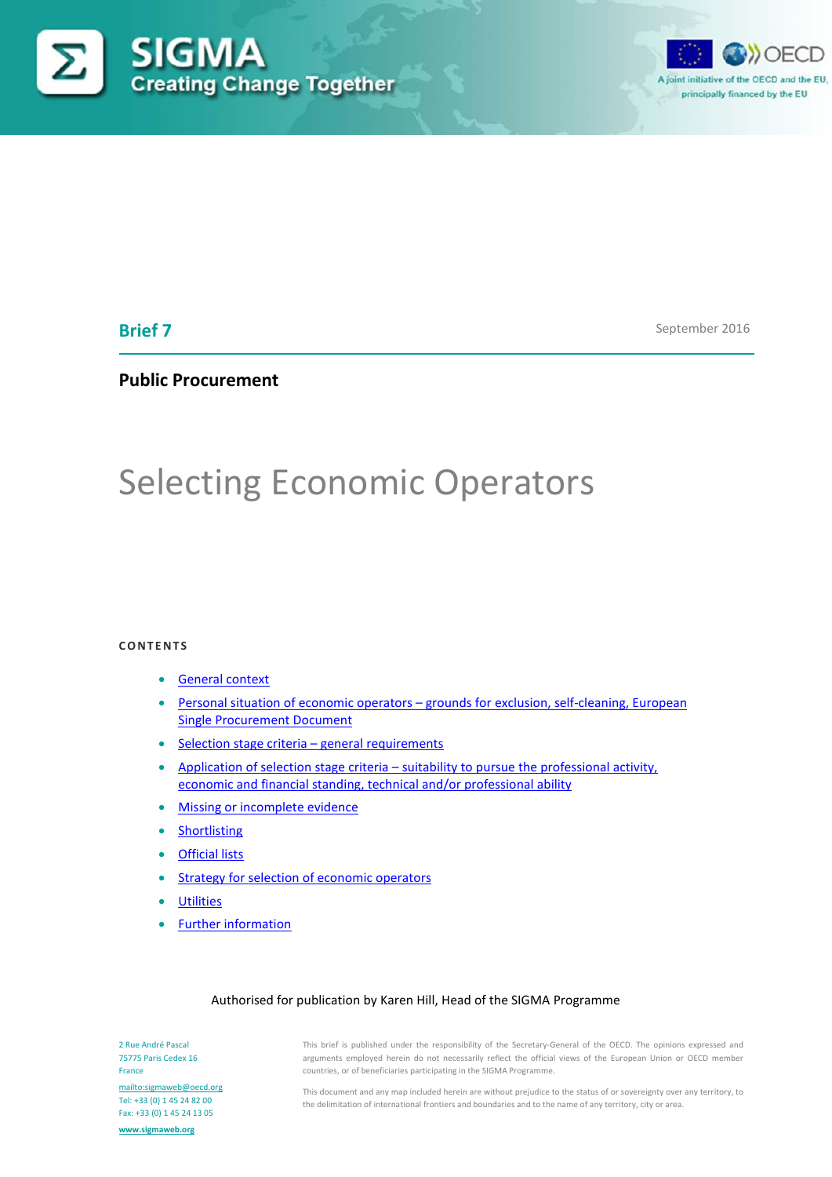



# **Brief 7**

September 2016

# **Public Procurement**

# Selecting Economic Operators

#### **CONTENTS**

- [General context](#page-0-0)
- Personal situation of economic operators [grounds for exclusion, self-cleaning, European](#page-2-0)  [Single Procurement Document](#page-2-0)
- [Selection stage criteria –](#page-5-0) general requirements
- Application of selection stage criteria [suitability to pursue the professional activity,](#page-5-1)  [economic and financial standing, technical and/or professional ability](#page-5-1)
- [Missing or incomplete evidence](#page-7-0)
- **[Shortlisting](#page-7-1)**
- [Official lists](#page-8-0)
- [Strategy for selection of economic operators](#page-8-1)
- **[Utilities](#page-9-0)**
- [Further information](#page-9-0)

#### Authorised for publication by Karen Hill, Head of the SIGMA Programme

This brief is published under the responsibility of the Secretary-General of the OECD. The opinions expressed and arguments employed herein do not necessarily reflect the official views of the European Union or OECD member countries, or of beneficiaries participating in the SIGMA Programme.

<mailto:sigmaweb@oecd.org> Tel: +33 (0) 1 45 24 82 00 Fax: +33 (0) 1 45 24 13 05 **[www.sigmaweb.org](http://www.sigmaweb.org/)**

<span id="page-0-0"></span>2 Rue André Pascal 75775 Paris Cedex 16

France

This document and any map included herein are without prejudice to the status of or sovereignty over any territory, to the delimitation of international frontiers and boundaries and to the name of any territory, city or area.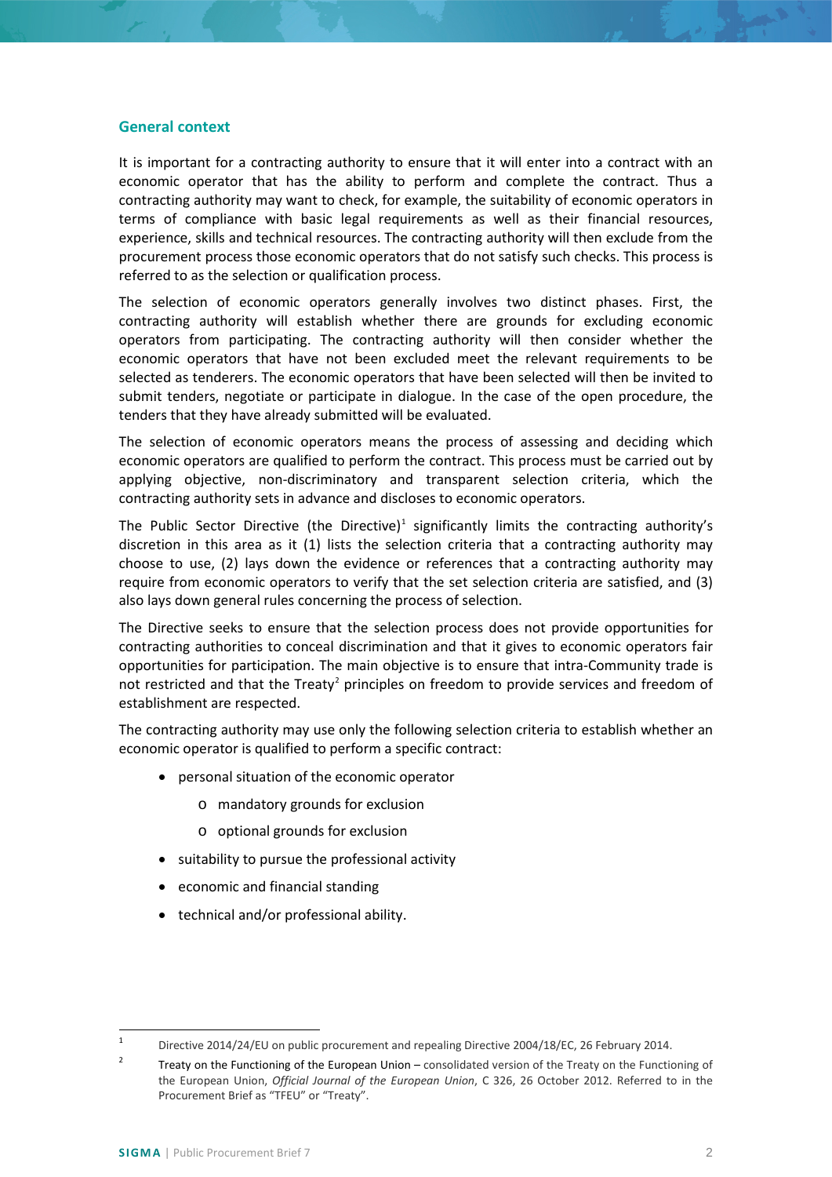#### **General context**

It is important for a contracting authority to ensure that it will enter into a contract with an economic operator that has the ability to perform and complete the contract. Thus a contracting authority may want to check, for example, the suitability of economic operators in terms of compliance with basic legal requirements as well as their financial resources, experience, skills and technical resources. The contracting authority will then exclude from the procurement process those economic operators that do not satisfy such checks. This process is referred to as the selection or qualification process.

The selection of economic operators generally involves two distinct phases. First, the contracting authority will establish whether there are grounds for excluding economic operators from participating. The contracting authority will then consider whether the economic operators that have not been excluded meet the relevant requirements to be selected as tenderers. The economic operators that have been selected will then be invited to submit tenders, negotiate or participate in dialogue. In the case of the open procedure, the tenders that they have already submitted will be evaluated.

The selection of economic operators means the process of assessing and deciding which economic operators are qualified to perform the contract. This process must be carried out by applying objective, non-discriminatory and transparent selection criteria, which the contracting authority sets in advance and discloses to economic operators.

The Public Sector Directive (the Directive)<sup>1</sup> significantly limits the contracting authority's discretion in this area as it (1) lists the selection criteria that a contracting authority may choose to use, (2) lays down the evidence or references that a contracting authority may require from economic operators to verify that the set selection criteria are satisfied, and (3) also lays down general rules concerning the process of selection.

The Directive seeks to ensure that the selection process does not provide opportunities for contracting authorities to conceal discrimination and that it gives to economic operators fair opportunities for participation. The main objective is to ensure that intra-Community trade is not restricted and that the Treaty<sup>[2](#page-1-1)</sup> principles on freedom to provide services and freedom of establishment are respected.

The contracting authority may use only the following selection criteria to establish whether an economic operator is qualified to perform a specific contract:

- personal situation of the economic operator
	- o mandatory grounds for exclusion
	- o optional grounds for exclusion
- suitability to pursue the professional activity
- economic and financial standing
- technical and/or professional ability.

<span id="page-1-0"></span> <sup>1</sup> Directive 2014/24/EU on public procurement and repealing Directive 2004/18/EC, 26 February 2014.

<span id="page-1-1"></span><sup>&</sup>lt;sup>2</sup> Treaty on the Functioning of the European Union – consolidated version of the Treaty on the Functioning of the European Union, *Official Journal of the European Union*, C 326, 26 October 2012. Referred to in the Procurement Brief as "TFEU" or "Treaty".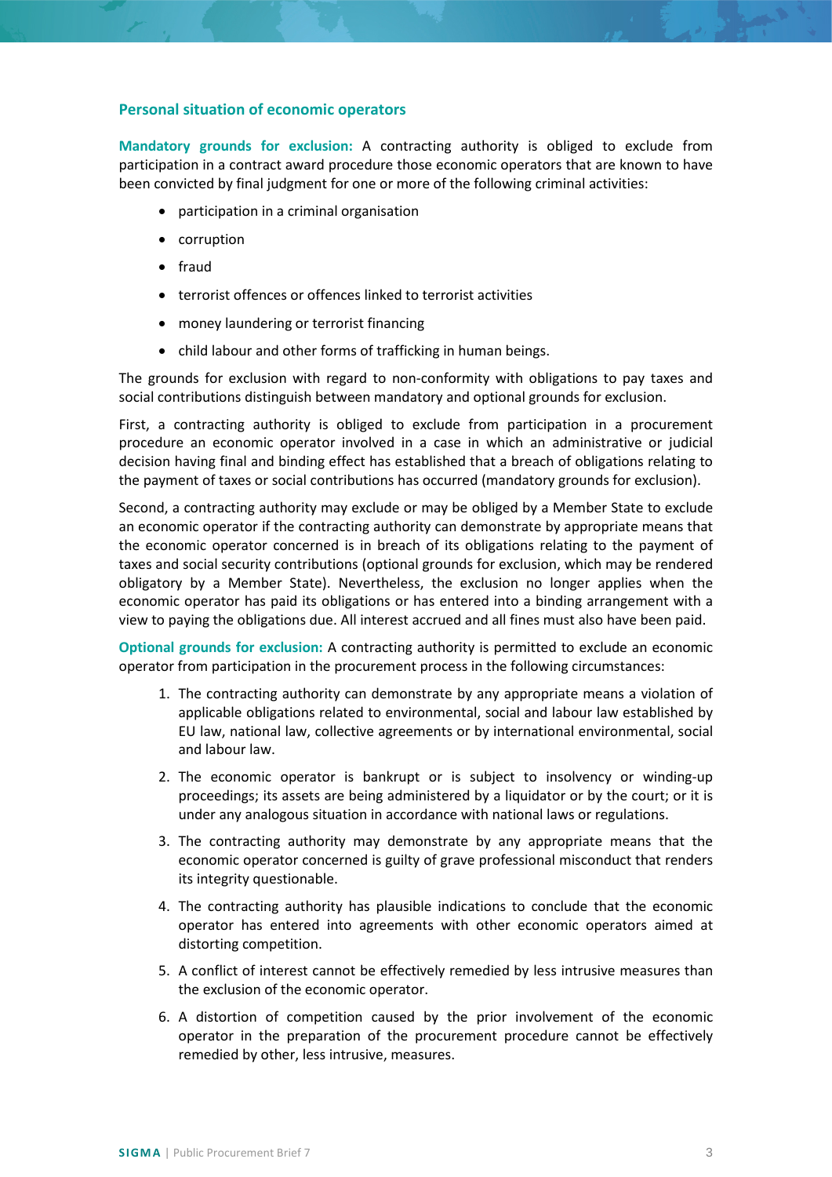#### <span id="page-2-0"></span>**Personal situation of economic operators**

**Mandatory grounds for exclusion:** A contracting authority is obliged to exclude from participation in a contract award procedure those economic operators that are known to have been convicted by final judgment for one or more of the following criminal activities:

- participation in a criminal organisation
- corruption
- fraud
- terrorist offences or offences linked to terrorist activities
- money laundering or terrorist financing
- child labour and other forms of trafficking in human beings.

The grounds for exclusion with regard to non-conformity with obligations to pay taxes and social contributions distinguish between mandatory and optional grounds for exclusion.

First, a contracting authority is obliged to exclude from participation in a procurement procedure an economic operator involved in a case in which an administrative or judicial decision having final and binding effect has established that a breach of obligations relating to the payment of taxes or social contributions has occurred (mandatory grounds for exclusion).

Second, a contracting authority may exclude or may be obliged by a Member State to exclude an economic operator if the contracting authority can demonstrate by appropriate means that the economic operator concerned is in breach of its obligations relating to the payment of taxes and social security contributions (optional grounds for exclusion, which may be rendered obligatory by a Member State). Nevertheless, the exclusion no longer applies when the economic operator has paid its obligations or has entered into a binding arrangement with a view to paying the obligations due. All interest accrued and all fines must also have been paid.

**Optional grounds for exclusion:** A contracting authority is permitted to exclude an economic operator from participation in the procurement process in the following circumstances:

- 1. The contracting authority can demonstrate by any appropriate means a violation of applicable obligations related to environmental, social and labour law established by EU law, national law, collective agreements or by international environmental, social and labour law.
- 2. The economic operator is bankrupt or is subject to insolvency or winding-up proceedings; its assets are being administered by a liquidator or by the court; or it is under any analogous situation in accordance with national laws or regulations.
- 3. The contracting authority may demonstrate by any appropriate means that the economic operator concerned is guilty of grave professional misconduct that renders its integrity questionable.
- 4. The contracting authority has plausible indications to conclude that the economic operator has entered into agreements with other economic operators aimed at distorting competition.
- 5. A conflict of interest cannot be effectively remedied by less intrusive measures than the exclusion of the economic operator.
- 6. A distortion of competition caused by the prior involvement of the economic operator in the preparation of the procurement procedure cannot be effectively remedied by other, less intrusive, measures.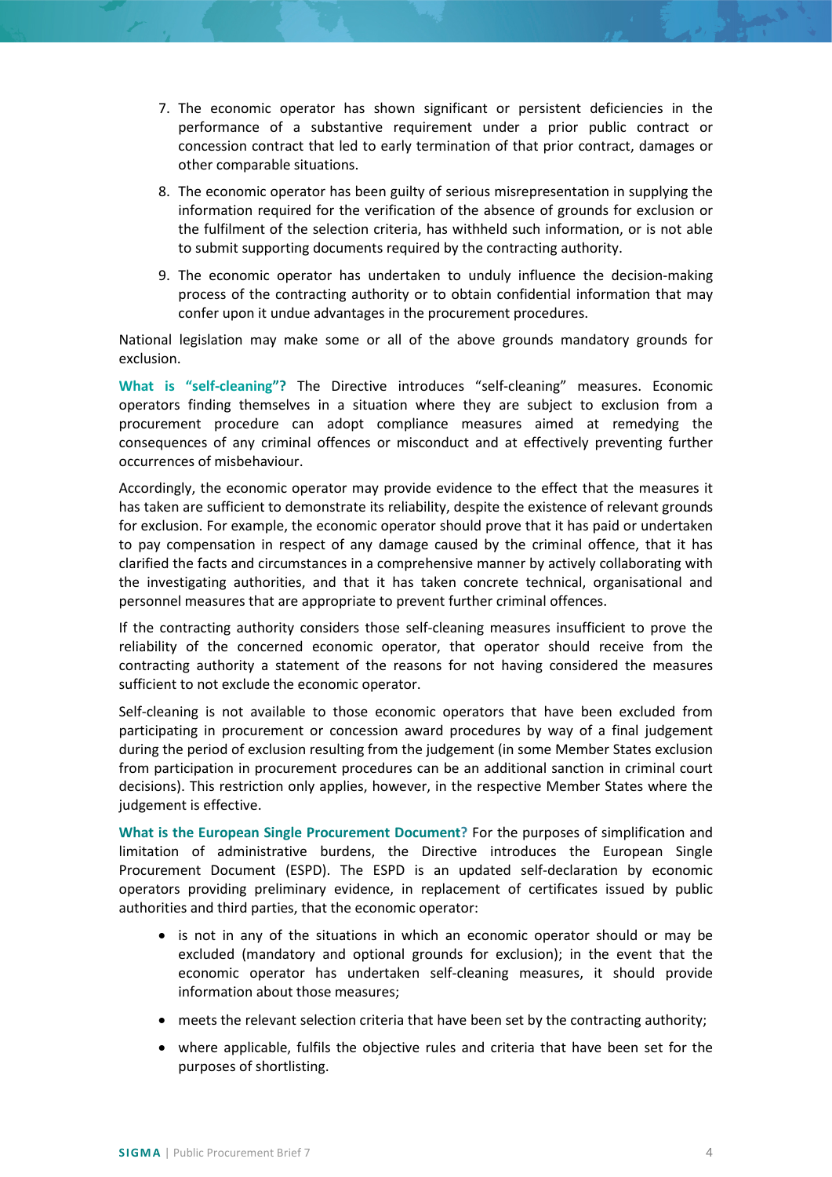- 7. The economic operator has shown significant or persistent deficiencies in the performance of a substantive requirement under a prior public contract or concession contract that led to early termination of that prior contract, damages or other comparable situations.
- 8. The economic operator has been guilty of serious misrepresentation in supplying the information required for the verification of the absence of grounds for exclusion or the fulfilment of the selection criteria, has withheld such information, or is not able to submit supporting documents required by the contracting authority.
- 9. The economic operator has undertaken to unduly influence the decision-making process of the contracting authority or to obtain confidential information that may confer upon it undue advantages in the procurement procedures.

National legislation may make some or all of the above grounds mandatory grounds for exclusion.

**What is "self-cleaning"?** The Directive introduces "self-cleaning" measures. Economic operators finding themselves in a situation where they are subject to exclusion from a procurement procedure can adopt compliance measures aimed at remedying the consequences of any criminal offences or misconduct and at effectively preventing further occurrences of misbehaviour.

Accordingly, the economic operator may provide evidence to the effect that the measures it has taken are sufficient to demonstrate its reliability, despite the existence of relevant grounds for exclusion. For example, the economic operator should prove that it has paid or undertaken to pay compensation in respect of any damage caused by the criminal offence, that it has clarified the facts and circumstances in a comprehensive manner by actively collaborating with the investigating authorities, and that it has taken concrete technical, organisational and personnel measures that are appropriate to prevent further criminal offences.

If the contracting authority considers those self-cleaning measures insufficient to prove the reliability of the concerned economic operator, that operator should receive from the contracting authority a statement of the reasons for not having considered the measures sufficient to not exclude the economic operator.

Self-cleaning is not available to those economic operators that have been excluded from participating in procurement or concession award procedures by way of a final judgement during the period of exclusion resulting from the judgement (in some Member States exclusion from participation in procurement procedures can be an additional sanction in criminal court decisions). This restriction only applies, however, in the respective Member States where the judgement is effective.

**What is the European Single Procurement Document?** For the purposes of simplification and limitation of administrative burdens, the Directive introduces the European Single Procurement Document (ESPD). The ESPD is an updated self-declaration by economic operators providing preliminary evidence, in replacement of certificates issued by public authorities and third parties, that the economic operator:

- is not in any of the situations in which an economic operator should or may be excluded (mandatory and optional grounds for exclusion); in the event that the economic operator has undertaken self-cleaning measures, it should provide information about those measures;
- meets the relevant selection criteria that have been set by the contracting authority;
- where applicable, fulfils the objective rules and criteria that have been set for the purposes of shortlisting.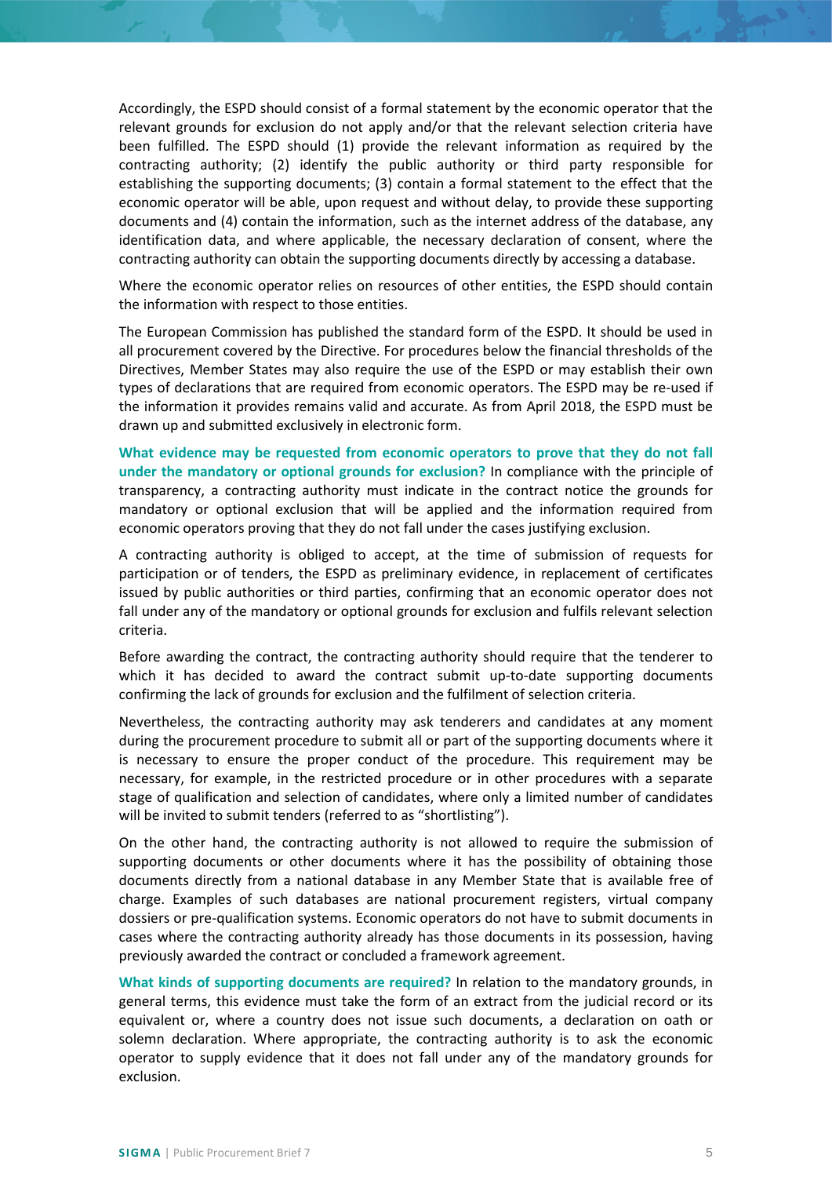Accordingly, the ESPD should consist of a formal statement by the economic operator that the relevant grounds for exclusion do not apply and/or that the relevant selection criteria have been fulfilled. The ESPD should (1) provide the relevant information as required by the contracting authority; (2) identify the public authority or third party responsible for establishing the supporting documents; (3) contain a formal statement to the effect that the economic operator will be able, upon request and without delay, to provide these supporting documents and (4) contain the information, such as the internet address of the database, any identification data, and where applicable, the necessary declaration of consent, where the contracting authority can obtain the supporting documents directly by accessing a database.

Where the economic operator relies on resources of other entities, the ESPD should contain the information with respect to those entities.

The European Commission has published the standard form of the ESPD. It should be used in all procurement covered by the Directive. For procedures below the financial thresholds of the Directives, Member States may also require the use of the ESPD or may establish their own types of declarations that are required from economic operators. The ESPD may be re-used if the information it provides remains valid and accurate. As from April 2018, the ESPD must be drawn up and submitted exclusively in electronic form.

**What evidence may be requested from economic operators to prove that they do not fall under the mandatory or optional grounds for exclusion?** In compliance with the principle of transparency, a contracting authority must indicate in the contract notice the grounds for mandatory or optional exclusion that will be applied and the information required from economic operators proving that they do not fall under the cases justifying exclusion.

A contracting authority is obliged to accept, at the time of submission of requests for participation or of tenders, the ESPD as preliminary evidence, in replacement of certificates issued by public authorities or third parties, confirming that an economic operator does not fall under any of the mandatory or optional grounds for exclusion and fulfils relevant selection criteria.

Before awarding the contract, the contracting authority should require that the tenderer to which it has decided to award the contract submit up-to-date supporting documents confirming the lack of grounds for exclusion and the fulfilment of selection criteria.

Nevertheless, the contracting authority may ask tenderers and candidates at any moment during the procurement procedure to submit all or part of the supporting documents where it is necessary to ensure the proper conduct of the procedure. This requirement may be necessary, for example, in the restricted procedure or in other procedures with a separate stage of qualification and selection of candidates, where only a limited number of candidates will be invited to submit tenders (referred to as "shortlisting").

On the other hand, the contracting authority is not allowed to require the submission of supporting documents or other documents where it has the possibility of obtaining those documents directly from a national database in any Member State that is available free of charge. Examples of such databases are national procurement registers, virtual company dossiers or pre-qualification systems. Economic operators do not have to submit documents in cases where the contracting authority already has those documents in its possession, having previously awarded the contract or concluded a framework agreement.

**What kinds of supporting documents are required?** In relation to the mandatory grounds, in general terms, this evidence must take the form of an extract from the judicial record or its equivalent or, where a country does not issue such documents, a declaration on oath or solemn declaration. Where appropriate, the contracting authority is to ask the economic operator to supply evidence that it does not fall under any of the mandatory grounds for exclusion.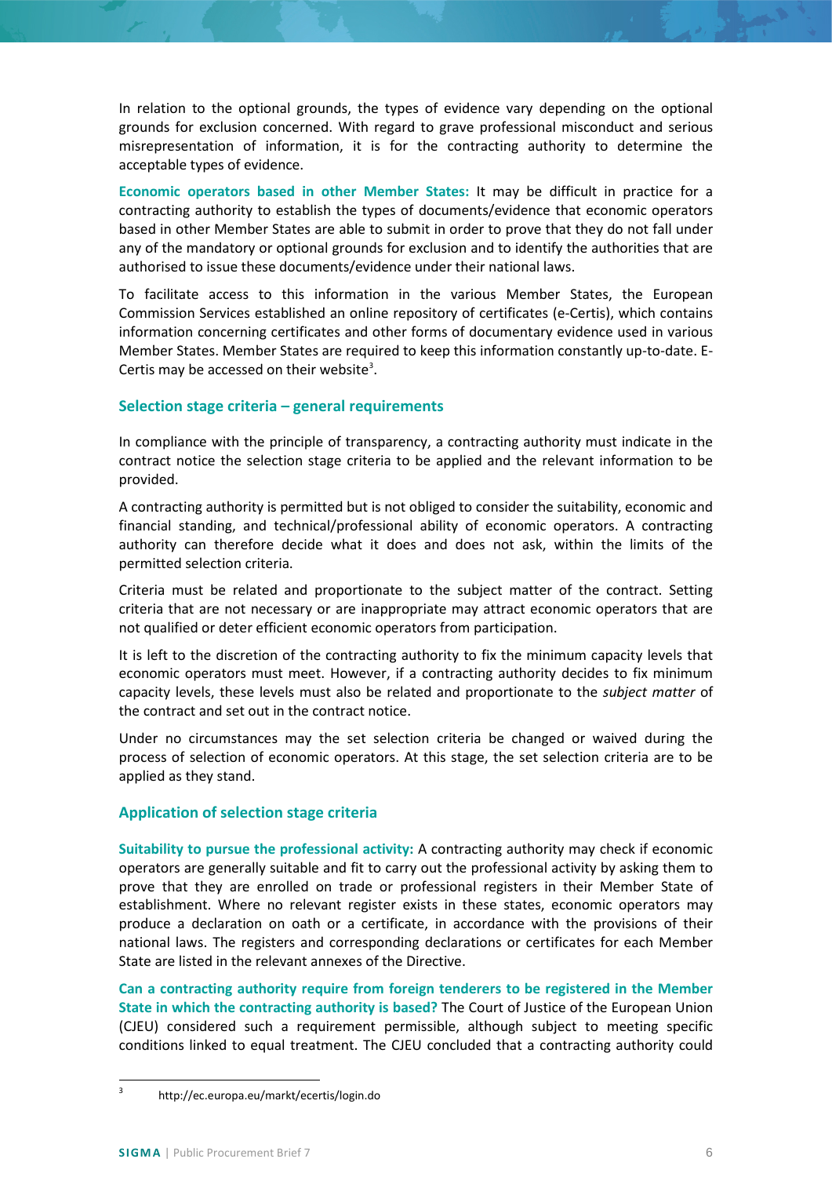In relation to the optional grounds, the types of evidence vary depending on the optional grounds for exclusion concerned. With regard to grave professional misconduct and serious misrepresentation of information, it is for the contracting authority to determine the acceptable types of evidence.

**Economic operators based in other Member States:** It may be difficult in practice for a contracting authority to establish the types of documents/evidence that economic operators based in other Member States are able to submit in order to prove that they do not fall under any of the mandatory or optional grounds for exclusion and to identify the authorities that are authorised to issue these documents/evidence under their national laws.

To facilitate access to this information in the various Member States, the European Commission Services established an online repository of certificates (e-Certis), which contains information concerning certificates and other forms of documentary evidence used in various Member States. Member States are required to keep this information constantly up-to-date. E-Certis may be accessed on their website<sup>[3](#page-5-2)</sup>.

## <span id="page-5-0"></span>**Selection stage criteria – general requirements**

In compliance with the principle of transparency, a contracting authority must indicate in the contract notice the selection stage criteria to be applied and the relevant information to be provided.

A contracting authority is permitted but is not obliged to consider the suitability, economic and financial standing, and technical/professional ability of economic operators. A contracting authority can therefore decide what it does and does not ask, within the limits of the permitted selection criteria.

Criteria must be related and proportionate to the subject matter of the contract. Setting criteria that are not necessary or are inappropriate may attract economic operators that are not qualified or deter efficient economic operators from participation.

It is left to the discretion of the contracting authority to fix the minimum capacity levels that economic operators must meet. However, if a contracting authority decides to fix minimum capacity levels, these levels must also be related and proportionate to the *subject matter* of the contract and set out in the contract notice.

Under no circumstances may the set selection criteria be changed or waived during the process of selection of economic operators. At this stage, the set selection criteria are to be applied as they stand.

# <span id="page-5-1"></span>**Application of selection stage criteria**

**Suitability to pursue the professional activity:** A contracting authority may check if economic operators are generally suitable and fit to carry out the professional activity by asking them to prove that they are enrolled on trade or professional registers in their Member State of establishment. Where no relevant register exists in these states, economic operators may produce a declaration on oath or a certificate, in accordance with the provisions of their national laws. The registers and corresponding declarations or certificates for each Member State are listed in the relevant annexes of the Directive.

**Can a contracting authority require from foreign tenderers to be registered in the Member State in which the contracting authority is based?** The Court of Justice of the European Union (CJEU) considered such a requirement permissible, although subject to meeting specific conditions linked to equal treatment. The CJEU concluded that a contracting authority could

<span id="page-5-2"></span> <sup>3</sup> http://ec.europa.eu/markt/ecertis/login.do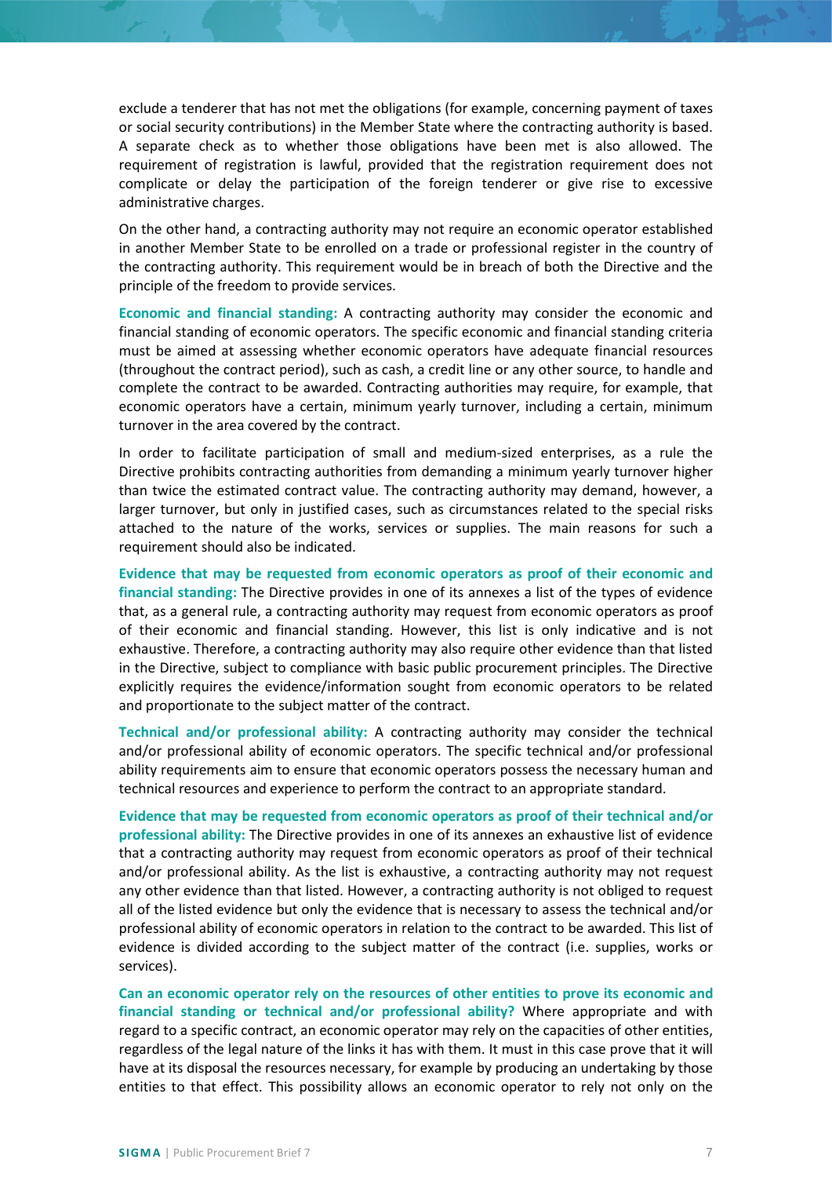exclude a tenderer that has not met the obligations (for example, concerning payment of taxes or social security contributions) in the Member State where the contracting authority is based. A separate check as to whether those obligations have been met is also allowed. The requirement of registration is lawful, provided that the registration requirement does not complicate or delay the participation of the foreign tenderer or give rise to excessive administrative charges.

On the other hand, a contracting authority may not require an economic operator established in another Member State to be enrolled on a trade or professional register in the country of the contracting authority. This requirement would be in breach of both the Directive and the principle of the freedom to provide services.

**Economic and financial standing:** A contracting authority may consider the economic and financial standing of economic operators. The specific economic and financial standing criteria must be aimed at assessing whether economic operators have adequate financial resources (throughout the contract period), such as cash, a credit line or any other source, to handle and complete the contract to be awarded. Contracting authorities may require, for example, that economic operators have a certain, minimum yearly turnover, including a certain, minimum turnover in the area covered by the contract.

In order to facilitate participation of small and medium-sized enterprises, as a rule the Directive prohibits contracting authorities from demanding a minimum yearly turnover higher than twice the estimated contract value. The contracting authority may demand, however, a larger turnover, but only in justified cases, such as circumstances related to the special risks attached to the nature of the works, services or supplies. The main reasons for such a requirement should also be indicated.

**Evidence that may be requested from economic operators as proof of their economic and financial standing:** The Directive provides in one of its annexes a list of the types of evidence that, as a general rule, a contracting authority may request from economic operators as proof of their economic and financial standing. However, this list is only indicative and is not exhaustive. Therefore, a contracting authority may also require other evidence than that listed in the Directive, subject to compliance with basic public procurement principles. The Directive explicitly requires the evidence/information sought from economic operators to be related and proportionate to the subject matter of the contract.

**Technical and/or professional ability:** A contracting authority may consider the technical and/or professional ability of economic operators. The specific technical and/or professional ability requirements aim to ensure that economic operators possess the necessary human and technical resources and experience to perform the contract to an appropriate standard.

**Evidence that may be requested from economic operators as proof of their technical and/or professional ability:** The Directive provides in one of its annexes an exhaustive list of evidence that a contracting authority may request from economic operators as proof of their technical and/or professional ability. As the list is exhaustive, a contracting authority may not request any other evidence than that listed. However, a contracting authority is not obliged to request all of the listed evidence but only the evidence that is necessary to assess the technical and/or professional ability of economic operators in relation to the contract to be awarded. This list of evidence is divided according to the subject matter of the contract (i.e. supplies, works or services).

**Can an economic operator rely on the resources of other entities to prove its economic and financial standing or technical and/or professional ability?** Where appropriate and with regard to a specific contract, an economic operator may rely on the capacities of other entities, regardless of the legal nature of the links it has with them. It must in this case prove that it will have at its disposal the resources necessary, for example by producing an undertaking by those entities to that effect. This possibility allows an economic operator to rely not only on the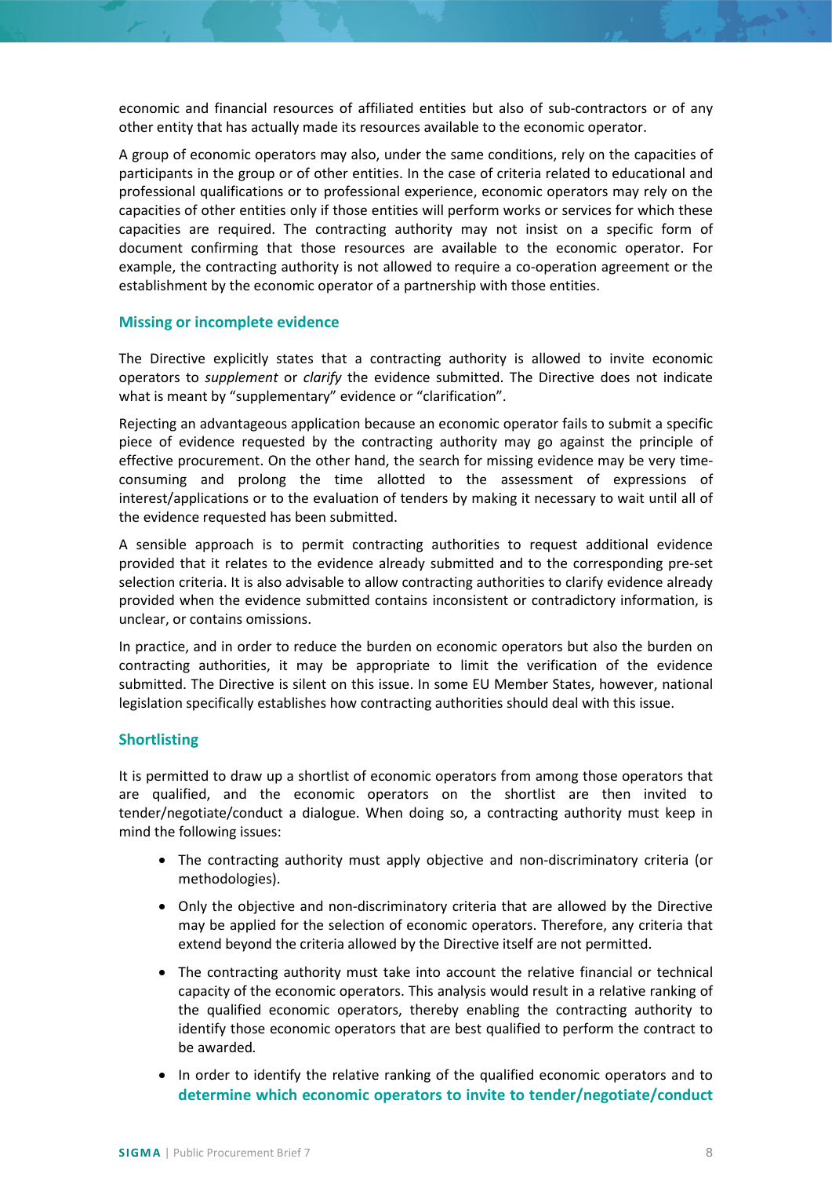economic and financial resources of affiliated entities but also of sub-contractors or of any other entity that has actually made its resources available to the economic operator.

A group of economic operators may also, under the same conditions, rely on the capacities of participants in the group or of other entities. In the case of criteria related to educational and professional qualifications or to professional experience, economic operators may rely on the capacities of other entities only if those entities will perform works or services for which these capacities are required. The contracting authority may not insist on a specific form of document confirming that those resources are available to the economic operator. For example, the contracting authority is not allowed to require a co-operation agreement or the establishment by the economic operator of a partnership with those entities.

#### <span id="page-7-0"></span>**Missing or incomplete evidence**

The Directive explicitly states that a contracting authority is allowed to invite economic operators to *supplement* or *clarify* the evidence submitted. The Directive does not indicate what is meant by "supplementary" evidence or "clarification".

Rejecting an advantageous application because an economic operator fails to submit a specific piece of evidence requested by the contracting authority may go against the principle of effective procurement. On the other hand, the search for missing evidence may be very timeconsuming and prolong the time allotted to the assessment of expressions of interest/applications or to the evaluation of tenders by making it necessary to wait until all of the evidence requested has been submitted.

A sensible approach is to permit contracting authorities to request additional evidence provided that it relates to the evidence already submitted and to the corresponding pre-set selection criteria. It is also advisable to allow contracting authorities to clarify evidence already provided when the evidence submitted contains inconsistent or contradictory information, is unclear, or contains omissions.

In practice, and in order to reduce the burden on economic operators but also the burden on contracting authorities, it may be appropriate to limit the verification of the evidence submitted. The Directive is silent on this issue. In some EU Member States, however, national legislation specifically establishes how contracting authorities should deal with this issue.

## <span id="page-7-1"></span>**Shortlisting**

It is permitted to draw up a shortlist of economic operators from among those operators that are qualified, and the economic operators on the shortlist are then invited to tender/negotiate/conduct a dialogue. When doing so, a contracting authority must keep in mind the following issues:

- The contracting authority must apply objective and non-discriminatory criteria (or methodologies).
- Only the objective and non-discriminatory criteria that are allowed by the Directive may be applied for the selection of economic operators. Therefore, any criteria that extend beyond the criteria allowed by the Directive itself are not permitted.
- The contracting authority must take into account the relative financial or technical capacity of the economic operators. This analysis would result in a relative ranking of the qualified economic operators, thereby enabling the contracting authority to identify those economic operators that are best qualified to perform the contract to be awarded*.*
- In order to identify the relative ranking of the qualified economic operators and to **determine which economic operators to invite to tender/negotiate/conduct**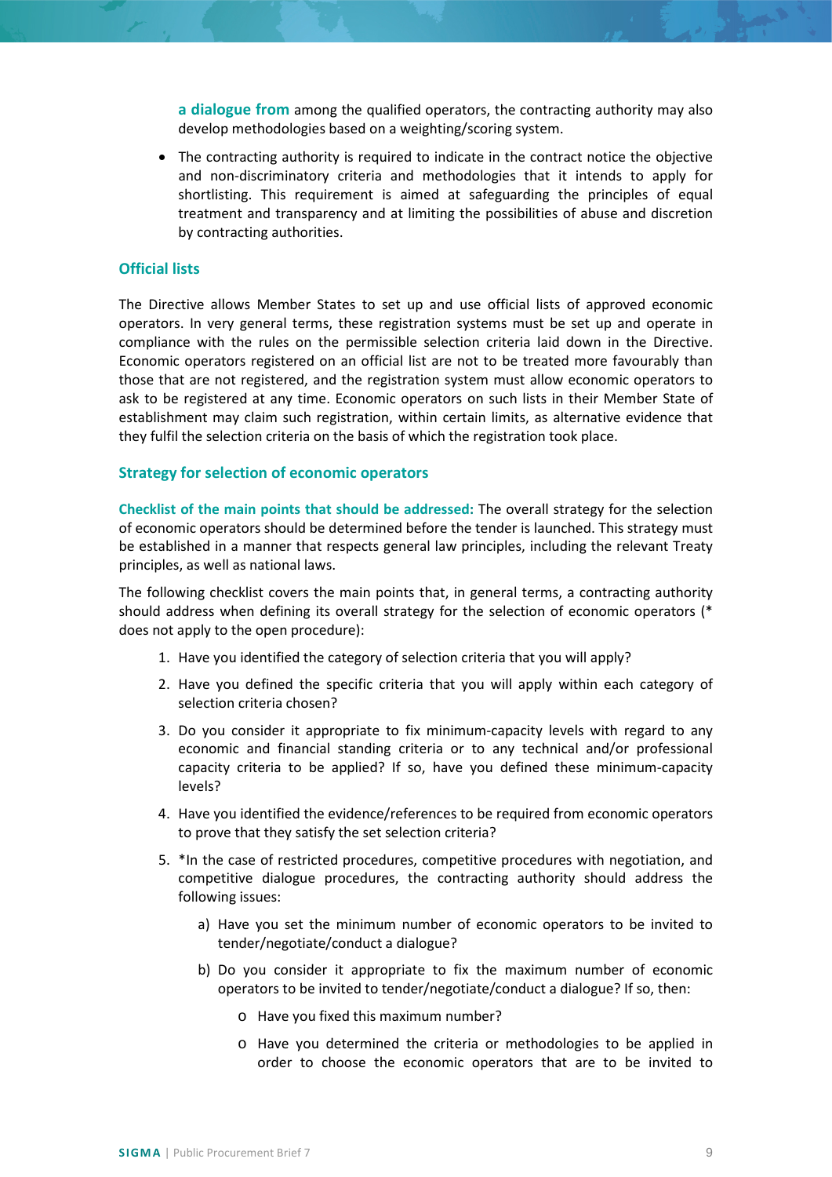**a dialogue from** among the qualified operators, the contracting authority may also develop methodologies based on a weighting/scoring system.

• The contracting authority is required to indicate in the contract notice the objective and non-discriminatory criteria and methodologies that it intends to apply for shortlisting. This requirement is aimed at safeguarding the principles of equal treatment and transparency and at limiting the possibilities of abuse and discretion by contracting authorities.

#### <span id="page-8-0"></span>**Official lists**

The Directive allows Member States to set up and use official lists of approved economic operators. In very general terms, these registration systems must be set up and operate in compliance with the rules on the permissible selection criteria laid down in the Directive. Economic operators registered on an official list are not to be treated more favourably than those that are not registered, and the registration system must allow economic operators to ask to be registered at any time. Economic operators on such lists in their Member State of establishment may claim such registration, within certain limits, as alternative evidence that they fulfil the selection criteria on the basis of which the registration took place.

#### <span id="page-8-1"></span>**Strategy for selection of economic operators**

**Checklist of the main points that should be addressed:** The overall strategy for the selection of economic operators should be determined before the tender is launched. This strategy must be established in a manner that respects general law principles, including the relevant Treaty principles, as well as national laws.

The following checklist covers the main points that, in general terms, a contracting authority should address when defining its overall strategy for the selection of economic operators (\* does not apply to the open procedure):

- 1. Have you identified the category of selection criteria that you will apply?
- 2. Have you defined the specific criteria that you will apply within each category of selection criteria chosen?
- 3. Do you consider it appropriate to fix minimum-capacity levels with regard to any economic and financial standing criteria or to any technical and/or professional capacity criteria to be applied? If so, have you defined these minimum-capacity levels?
- 4. Have you identified the evidence/references to be required from economic operators to prove that they satisfy the set selection criteria?
- 5. \*In the case of restricted procedures, competitive procedures with negotiation, and competitive dialogue procedures, the contracting authority should address the following issues:
	- a) Have you set the minimum number of economic operators to be invited to tender/negotiate/conduct a dialogue?
	- b) Do you consider it appropriate to fix the maximum number of economic operators to be invited to tender/negotiate/conduct a dialogue? If so, then:
		- o Have you fixed this maximum number?
		- o Have you determined the criteria or methodologies to be applied in order to choose the economic operators that are to be invited to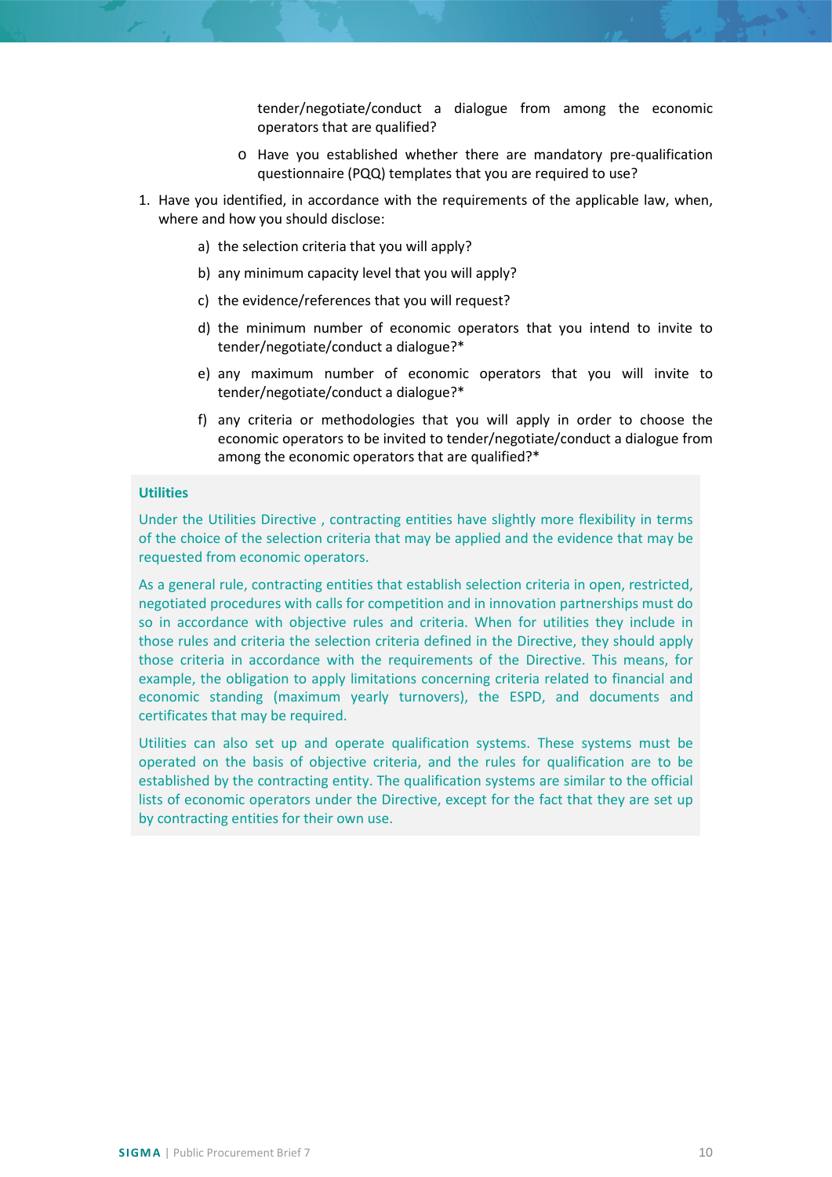tender/negotiate/conduct a dialogue from among the economic operators that are qualified?

- o Have you established whether there are mandatory pre-qualification questionnaire (PQQ) templates that you are required to use?
- 1. Have you identified, in accordance with the requirements of the applicable law, when, where and how you should disclose:
	- a) the selection criteria that you will apply?
	- b) any minimum capacity level that you will apply?
	- c) the evidence/references that you will request?
	- d) the minimum number of economic operators that you intend to invite to tender/negotiate/conduct a dialogue?\*
	- e) any maximum number of economic operators that you will invite to tender/negotiate/conduct a dialogue?\*
	- f) any criteria or methodologies that you will apply in order to choose the economic operators to be invited to tender/negotiate/conduct a dialogue from among the economic operators that are qualified?\*

# **Utilities**

Under the Utilities Directive , contracting entities have slightly more flexibility in terms of the choice of the selection criteria that may be applied and the evidence that may be requested from economic operators.

As a general rule, contracting entities that establish selection criteria in open, restricted, negotiated procedures with calls for competition and in innovation partnerships must do so in accordance with objective rules and criteria. When for utilities they include in those rules and criteria the selection criteria defined in the Directive, they should apply those criteria in accordance with the requirements of the Directive. This means, for example, the obligation to apply limitations concerning criteria related to financial and economic standing (maximum yearly turnovers), the ESPD, and documents and certificates that may be required.

<span id="page-9-0"></span>Utilities can also set up and operate qualification systems. These systems must be operated on the basis of objective criteria, and the rules for qualification are to be established by the contracting entity. The qualification systems are similar to the official lists of economic operators under the Directive, except for the fact that they are set up by contracting entities for their own use.